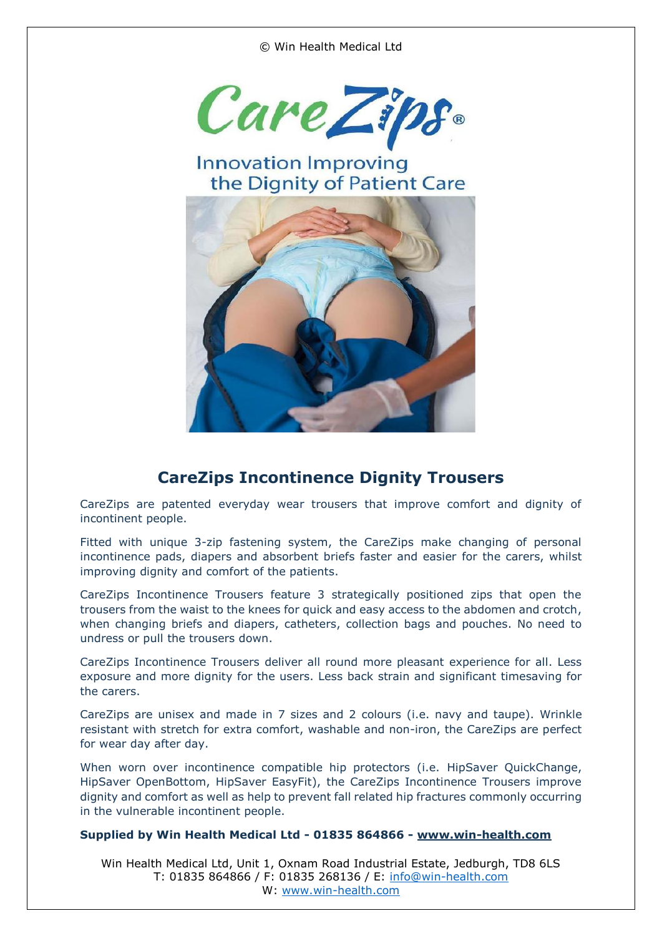© Win Health Medical Ltd



## **Innovation Improving** the Dignity of Patient Care



## **CareZips Incontinence Dignity Trousers**

CareZips are patented everyday wear trousers that improve comfort and dignity of incontinent people.

Fitted with unique 3-zip fastening system, the CareZips make changing of personal incontinence pads, diapers and absorbent briefs faster and easier for the carers, whilst improving dignity and comfort of the patients.

CareZips Incontinence Trousers feature 3 strategically positioned zips that open the trousers from the waist to the knees for quick and easy access to the abdomen and crotch, when changing briefs and diapers, catheters, collection bags and pouches. No need to undress or pull the trousers down.

CareZips Incontinence Trousers deliver all round more pleasant experience for all. Less exposure and more dignity for the users. Less back strain and significant timesaving for the carers.

CareZips are unisex and made in 7 sizes and 2 colours (i.e. navy and taupe). Wrinkle resistant with stretch for extra comfort, washable and non-iron, the CareZips are perfect for wear day after day.

When worn over incontinence compatible hip protectors (i.e. HipSaver QuickChange, HipSaver OpenBottom, HipSaver EasyFit), the CareZips Incontinence Trousers improve dignity and comfort as well as help to prevent fall related hip fractures commonly occurring in the vulnerable incontinent people.

## **Supplied by Win Health Medical Ltd - 01835 864866 - [www.win-health.com](http://www.win-health.com/)**

Win Health Medical Ltd, Unit 1, Oxnam Road Industrial Estate, Jedburgh, TD8 6LS T: 01835 864866 / F: 01835 268136 / E: [info@win-health.com](mailto:info@win-health.com) W: [www.win-health.com](http://www.win-health.com/)